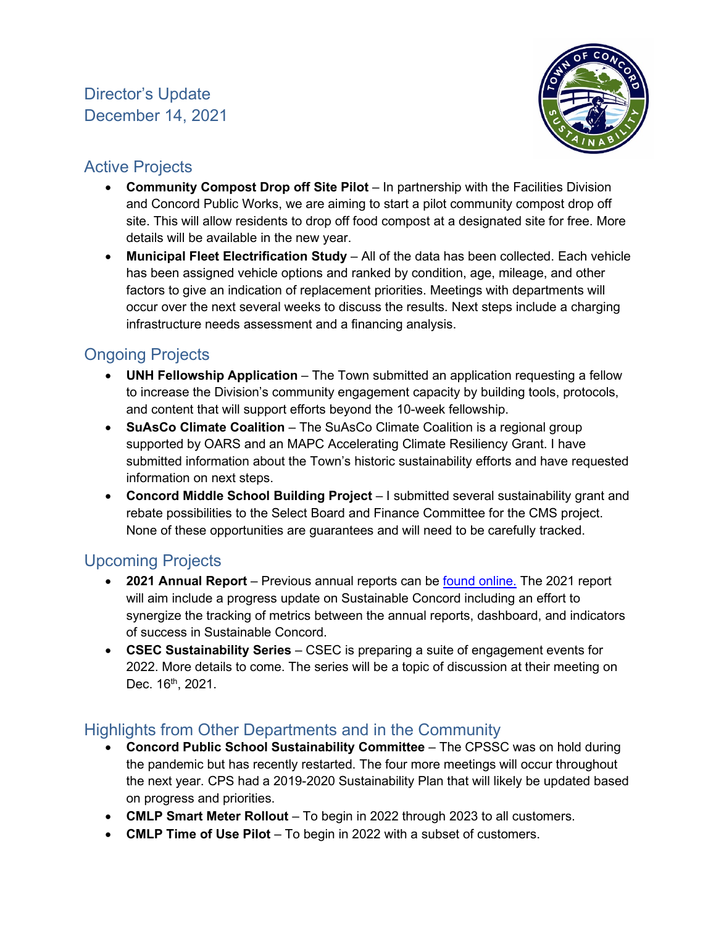

# Active Projects

- **Community Compost Drop off Site Pilot**  In partnership with the Facilities Division and Concord Public Works, we are aiming to start a pilot community compost drop off site. This will allow residents to drop off food compost at a designated site for free. More details will be available in the new year.
- **Municipal Fleet Electrification Study** All of the data has been collected. Each vehicle has been assigned vehicle options and ranked by condition, age, mileage, and other factors to give an indication of replacement priorities. Meetings with departments will occur over the next several weeks to discuss the results. Next steps include a charging infrastructure needs assessment and a financing analysis.

# Ongoing Projects

- **UNH Fellowship Application** The Town submitted an application requesting a fellow to increase the Division's community engagement capacity by building tools, protocols, and content that will support efforts beyond the 10-week fellowship.
- **SuAsCo Climate Coalition** The SuAsCo Climate Coalition is a regional group supported by OARS and an MAPC Accelerating Climate Resiliency Grant. I have submitted information about the Town's historic sustainability efforts and have requested information on next steps.
- **Concord Middle School Building Project**  I submitted several sustainability grant and rebate possibilities to the Select Board and Finance Committee for the CMS project. None of these opportunities are guarantees and will need to be carefully tracked.

# Upcoming Projects

- **2021 Annual Report** Previous annual reports can be [found online.](https://concordma.gov/2192/Reports-and-Resources) The 2021 report will aim include a progress update on Sustainable Concord including an effort to synergize the tracking of metrics between the annual reports, dashboard, and indicators of success in Sustainable Concord.
- **CSEC Sustainability Series**  CSEC is preparing a suite of engagement events for 2022. More details to come. The series will be a topic of discussion at their meeting on Dec. 16<sup>th</sup>, 2021.

## Highlights from Other Departments and in the Community

- **Concord Public School Sustainability Committee** The CPSSC was on hold during the pandemic but has recently restarted. The four more meetings will occur throughout the next year. CPS had a 2019-2020 Sustainability Plan that will likely be updated based on progress and priorities.
- **CMLP Smart Meter Rollout** To begin in 2022 through 2023 to all customers.
- **CMLP Time of Use Pilot**  To begin in 2022 with a subset of customers.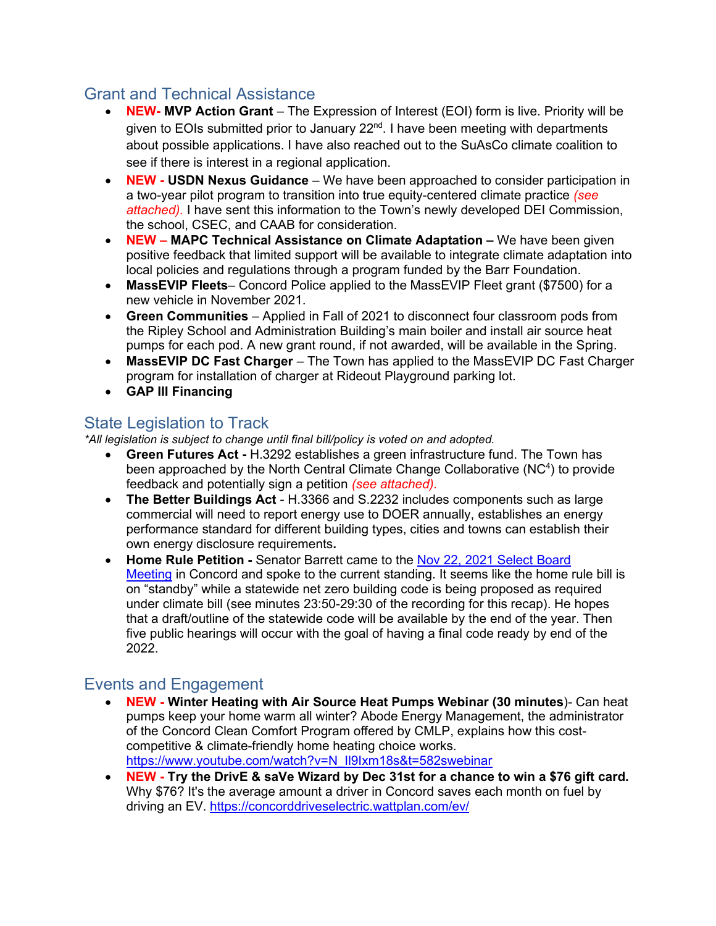### Grant and Technical Assistance

- **NEW- MVP Action Grant** The Expression of Interest (EOI) form is live. Priority will be given to EOIs submitted prior to January 22<sup>nd</sup>. I have been meeting with departments about possible applications. I have also reached out to the SuAsCo climate coalition to see if there is interest in a regional application.
- **NEW USDN Nexus Guidance** We have been approached to consider participation in a two-year pilot program to transition into true equity-centered climate practice *(see attached).* I have sent this information to the Town's newly developed DEI Commission, the school, CSEC, and CAAB for consideration.
- **NEW MAPC Technical Assistance on Climate Adaptation** We have been given positive feedback that limited support will be available to integrate climate adaptation into local policies and regulations through a program funded by the Barr Foundation.
- **MassEVIP Fleets** Concord Police applied to the MassEVIP Fleet grant (\$7500) for a new vehicle in November 2021.
- **Green Communities**  Applied in Fall of 2021 to disconnect four classroom pods from the Ripley School and Administration Building's main boiler and install air source heat pumps for each pod. A new grant round, if not awarded, will be available in the Spring.
- **MassEVIP DC Fast Charger** The Town has applied to the MassEVIP DC Fast Charger program for installation of charger at Rideout Playground parking lot.
- **GAP III Financing**

### State Legislation to Track

*\*All legislation is subject to change until final bill/policy is voted on and adopted.*

- **Green Futures Act** H.3292 establishes a green infrastructure fund. The Town has been approached by the North Central Climate Change Collaborative (NC<sup>4</sup>) to provide feedback and potentially sign a petition *(see attached).*
- **The Better Buildings Act**  H.3366 and S.2232 includes components such as large commercial will need to report energy use to DOER annually, establishes an energy performance standard for different building types, cities and towns can establish their own energy disclosure requirements**.**
- **Home Rule Petition** Senator Barrett came to the [Nov 22, 2021 Select Board](https://protect-us.mimecast.com/s/RFxJC1wpV2uMMy7lhLeZYw?domain=youtube.com) [Meeting](https://protect-us.mimecast.com/s/RFxJC1wpV2uMMy7lhLeZYw?domain=youtube.com) in Concord and spoke to the current standing. It seems like the home rule bill is on "standby" while a statewide net zero building code is being proposed as required under climate bill (see minutes 23:50-29:30 of the recording for this recap). He hopes that a draft/outline of the statewide code will be available by the end of the year. Then five public hearings will occur with the goal of having a final code ready by end of the 2022.

## Events and Engagement

- **NEW Winter Heating with Air Source Heat Pumps Webinar (30 minutes**)- Can heat pumps keep your home warm all winter? Abode Energy Management, the administrator of the Concord Clean Comfort Program offered by CMLP, explains how this costcompetitive & climate-friendly home heating choice works. [https://www.youtube.com/watch?v=N\\_Il9Ixm18s&t=582swebinar](https://www.youtube.com/watch?v=N_Il9Ixm18s&t=582swebinar)
- **NEW Try the DrivE & saVe Wizard by Dec 31st for a chance to win a \$76 gift card.** Why \$76? It's the average amount a driver in Concord saves each month on fuel by driving an EV.<https://concorddriveselectric.wattplan.com/ev/>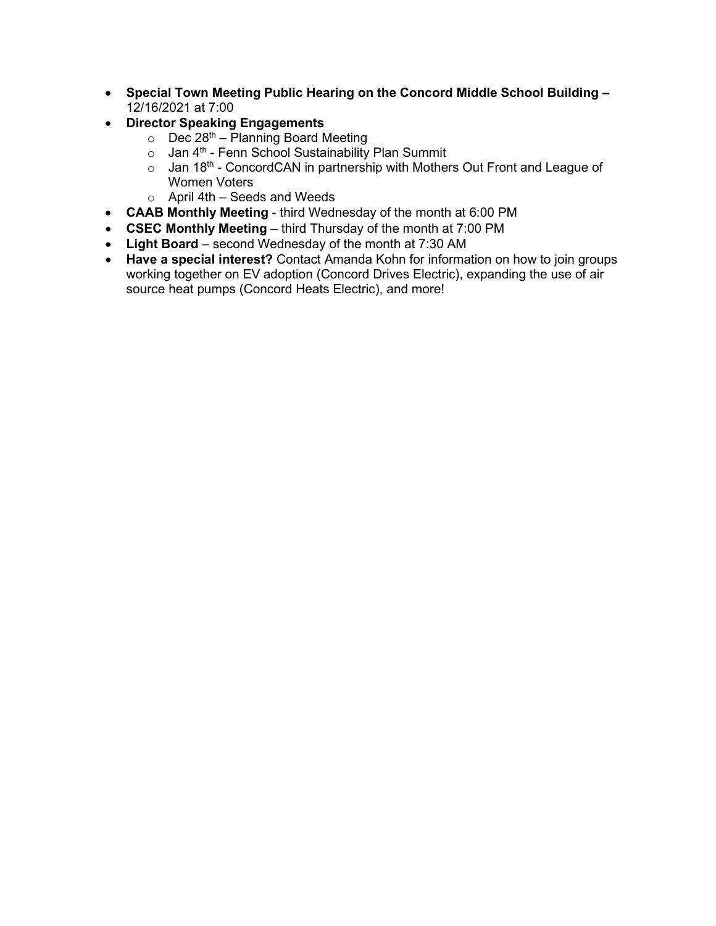- **Special Town Meeting Public Hearing on the Concord Middle School Building –** 12/16/2021 at 7:00
- **Director Speaking Engagements** 
	- $\circ$  Dec 28<sup>th</sup> Planning Board Meeting
	- $\circ$  Jan 4<sup>th</sup> Fenn School Sustainability Plan Summit
	- $\circ$  Jan 18<sup>th</sup> ConcordCAN in partnership with Mothers Out Front and League of Women Voters
	- $\circ$  April 4th Seeds and Weeds
- **CAAB Monthly Meeting** third Wednesday of the month at 6:00 PM
- **CSEC Monthly Meeting** third Thursday of the month at 7:00 PM
- **Light Board**  second Wednesday of the month at 7:30 AM
- **Have a special interest?** Contact Amanda Kohn for information on how to join groups working together on EV adoption (Concord Drives Electric), expanding the use of air source heat pumps (Concord Heats Electric), and more!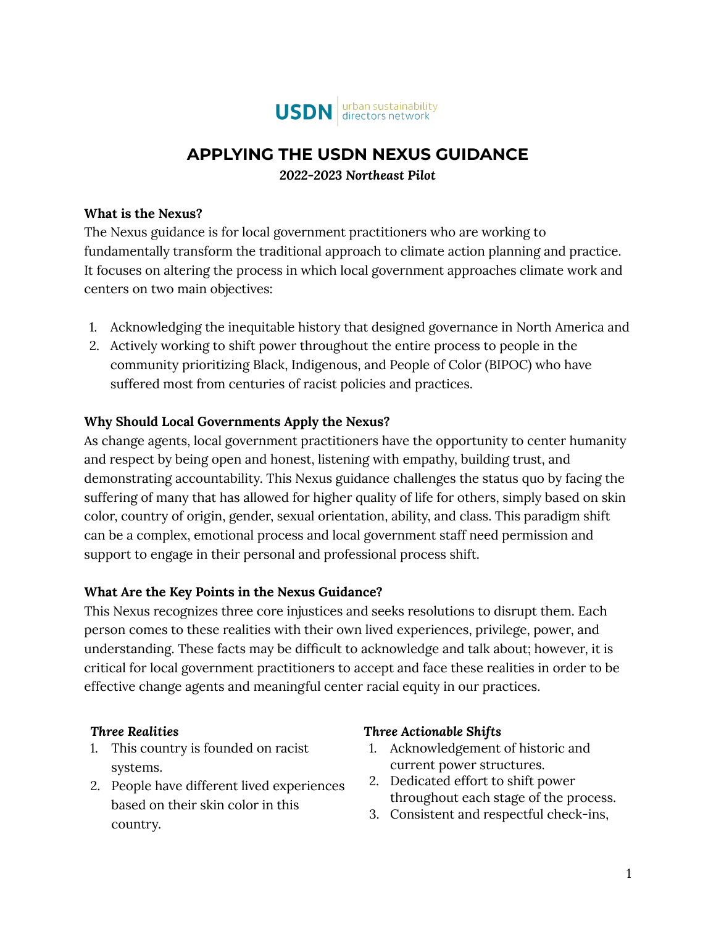

## **APPLYING THE USDN NEXUS GUIDANCE**

*2022-2023 Northeast Pilot*

#### **What is the Nexus?**

The Nexus guidance is for local government practitioners who are working to fundamentally transform the traditional approach to climate action planning and practice. It focuses on altering the process in which local government approaches climate work and centers on two main objectives:

- 1. Acknowledging the inequitable history that designed governance in North America and
- 2. Actively working to shift power throughout the entire process to people in the community prioritizing Black, Indigenous, and People of Color (BIPOC) who have suffered most from centuries of racist policies and practices.

#### **Why Should Local Governments Apply the Nexus?**

As change agents, local government practitioners have the opportunity to center humanity and respect by being open and honest, listening with empathy, building trust, and demonstrating accountability. This Nexus guidance challenges the status quo by facing the suffering of many that has allowed for higher quality of life for others, simply based on skin color, country of origin, gender, sexual orientation, ability, and class. This paradigm shift can be a complex, emotional process and local government staff need permission and support to engage in their personal and professional process shift.

#### **What Are the Key Points in the Nexus Guidance?**

This Nexus recognizes three core injustices and seeks resolutions to disrupt them. Each person comes to these realities with their own lived experiences, privilege, power, and understanding. These facts may be difficult to acknowledge and talk about; however, it is critical for local government practitioners to accept and face these realities in order to be effective change agents and meaningful center racial equity in our practices.

#### *Three Realities*

- 1. This country is founded on racist systems.
- 2. People have different lived experiences based on their skin color in this country.

#### *Three Actionable Shifts*

- 1. Acknowledgement of historic and current power structures.
- 2. Dedicated effort to shift power throughout each stage of the process.
- 3. Consistent and respectful check-ins,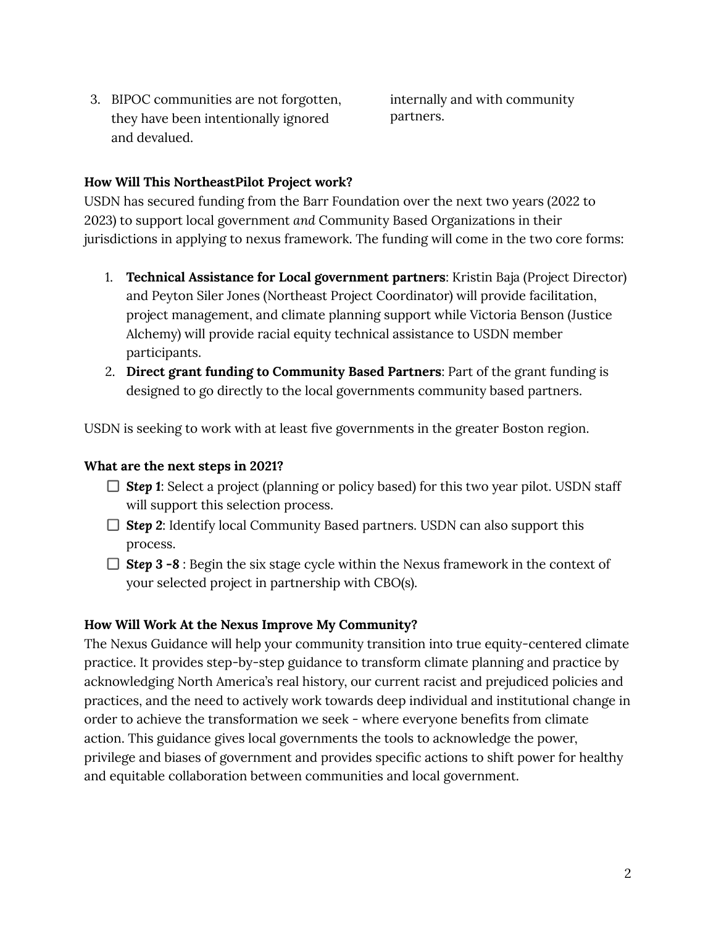3. BIPOC communities are not forgotten, they have been intentionally ignored and devalued.

internally and with community partners.

#### **How Will This NortheastPilot Project work?**

USDN has secured funding from the Barr Foundation over the next two years (2022 to 2023) to support local government *and* Community Based Organizations in their jurisdictions in applying to nexus framework. The funding will come in the two core forms:

- 1. **Technical Assistance for Local government partners**: Kristin Baja (Project Director) and Peyton Siler Jones (Northeast Project Coordinator) will provide facilitation, project management, and climate planning support while Victoria Benson (Justice Alchemy) will provide racial equity technical assistance to USDN member participants.
- 2. **Direct grant funding to Community Based Partners**: Part of the grant funding is designed to go directly to the local governments community based partners.

USDN is seeking to work with at least five governments in the greater Boston region.

#### **What are the next steps in 2021?**

- □ **Step 1**: Select a project (planning or policy based) for this two year pilot. USDN staff will support this selection process.
- □ **Step 2**: Identify local Community Based partners. USDN can also support this process.
- *Step 3 -8* : Begin the six stage cycle within the Nexus framework in the context of your selected project in partnership with CBO(s).

#### **How Will Work At the Nexus Improve My Community?**

The Nexus Guidance will help your community transition into true equity-centered climate practice. It provides step-by-step guidance to transform climate planning and practice by acknowledging North America's real history, our current racist and prejudiced policies and practices, and the need to actively work towards deep individual and institutional change in order to achieve the transformation we seek - where everyone benefits from climate action. This guidance gives local governments the tools to acknowledge the power, privilege and biases of government and provides specific actions to shift power for healthy and equitable collaboration between communities and local government.